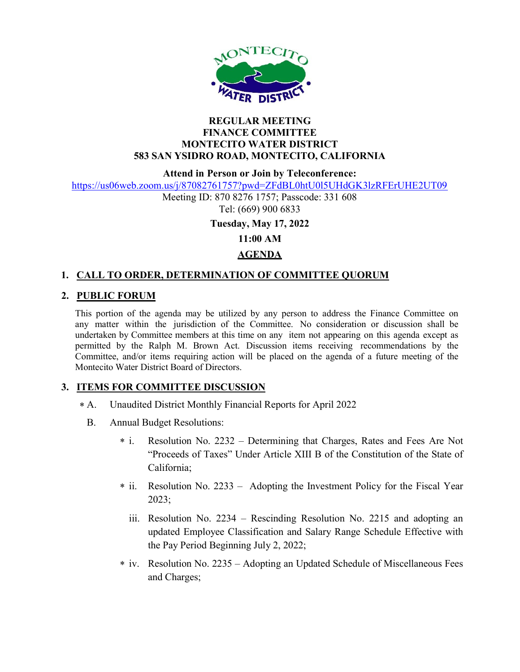

### REGULAR MEETING FINANCE COMMITTEE MONTECITO WATER DISTRICT 583 SAN YSIDRO ROAD, MONTECITO, CALIFORNIA

Attend in Person or Join by Teleconference:

https://us06web.zoom.us/j/87082761757?pwd=ZFdBL0htU0l5UHdGK3lzRFErUHE2UT09

Meeting ID: 870 8276 1757; Passcode: 331 608 Tel: (669) 900 6833

Tuesday, May 17, 2022

11:00 AM

# AGENDA

# 1. CALL TO ORDER, DETERMINATION OF COMMITTEE QUORUM

## 2. PUBLIC FORUM

This portion of the agenda may be utilized by any person to address the Finance Committee on any matter within the jurisdiction of the Committee. No consideration or discussion shall be undertaken by Committee members at this time on any item not appearing on this agenda except as permitted by the Ralph M. Brown Act. Discussion items receiving recommendations by the Committee, and/or items requiring action will be placed on the agenda of a future meeting of the Montecito Water District Board of Directors.

## 3. ITEMS FOR COMMITTEE DISCUSSION

- Unaudited District Monthly Financial Reports for April 2022  $* A.$ 
	- B. Annual Budget Resolutions:
		- Resolution No. 2232 Determining that Charges, Rates and Fees Are Not "Proceeds of Taxes" Under Article XIII B of the Constitution of the State of California;  $*$  i.
		- \* ii. Resolution No. 2233 Adopting the Investment Policy for the Fiscal Year 2023;
			- iii. Resolution No. 2234 Rescinding Resolution No. 2215 and adopting an updated Employee Classification and Salary Range Schedule Effective with the Pay Period Beginning July 2, 2022;
		- iv. Resolution No. 2235 Adopting an Updated Schedule of Miscellaneous Fees \* and Charges;